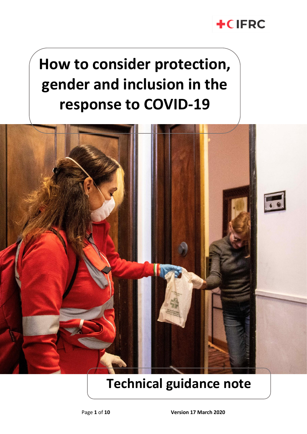## **+CIFRC**

# **How to consider protection, gender and inclusion in the response to COVID-19**



## **Technical guidance note**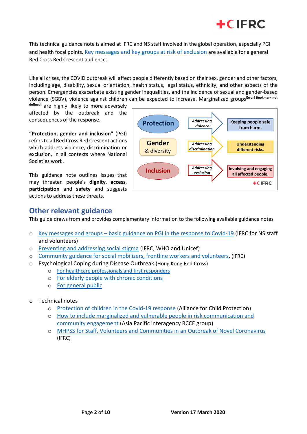

This technical guidance note is aimed at IFRC and NS staff involved in the global operation, especially PGI and health focal points. [Key messages and key groups at risk of exclusion](https://ifrcorg.sharepoint.com/sites/GlobalPGIcoordination/Shared%20Documents/nCoV%20and%20PGI/PGI%20and%20COVID%20key%20messages%2012March20.docx) are available for a general Red Cross Red Crescent audience.

Like all crises, the COVID outbreak will affect people differently based on their sex, gender and other factors, including age, disability, sexual orientation, health status, legal status, ethnicity, and other aspects of the person. Emergencies exacerbate existing gender inequalities, and the incidence of sexual and gender-based violence (SGBV), violence against children can be expected to increase. Marginalized groups**Error! Bookmark not** 

**defined.** are highly likely to more adversely affected by the outbreak and the consequences of the response.

**"Protection, gender and inclusion"** (PGI) refers to all Red Cross Red Crescent actions which address violence, discrimination or exclusion, in all contexts where National Societies work.

This guidance note outlines issues that may threaten people's **dignity**, **access**, **participation** and **safety** and suggests actions to address these threats.



### **Other relevant guidance**

This guide draws from and provides complementary information to the following available guidance notes

- o Key messages and groups [basic guidance on PGI in the response to Covid-19](http://tiny.cc/pgicovidbasic) (IFRC for NS staff and volunteers)
- o [Preventing and addressing social stigma](https://www.communityengagementhub.org/wp-content/uploads/sites/2/2020/02/COVID19-Stigma-guide-2002.pdf) (IFRC, WHO and Unicef)
- o [Community guidance for social mobilizers, frontline workers and volunteers](https://www.communityengagementhub.org/wp-content/uploads/sites/2/2020/02/COVID19-Community-guidance-for-social-mobilizers-volunteers-2302_EN.pdf). (IFRC)
- o Psychological Coping during Disease Outbreak (Hong Kong Red Cross)
	- o [For healthcare professionals and first responders](https://www.communityengagementhub.org/wp-content/uploads/sites/2/2020/03/MHPSS-during-disease-outbreak_provider_ENG_final.pdf)
	- o [For elderly people with chronic conditions](https://www.communityengagementhub.org/wp-content/uploads/sites/2/2020/03/MHPSS-during-disease-outbreak_elderly_ENG_final.pdf)
	- o [For general public](https://www.communityengagementhub.org/wp-content/uploads/sites/2/2020/03/MHPSS-during-disease-outbreak_GEN_ENG_final.pdf)
- o Technical notes
	- o [Protection of children in the Covid-19 response](https://alliancecpha.org/en/COVD19) (Alliance for Child Protection)
	- o [How to include marginalized and vulnerable people in risk communication and](https://www.communityengagementhub.org/wp-content/uploads/sites/2/2020/03/COVID-19_CommunityEngagement_1303201.pdf)  [community engagement](https://www.communityengagementhub.org/wp-content/uploads/sites/2/2020/03/COVID-19_CommunityEngagement_1303201.pdf) (Asia Pacific interagency RCCE group)
	- o [MHPSS for Staff, Volunteers and Communities in an Outbreak of Novel Coronavirus](https://pscentre.org/wp-content/uploads/2020/02/MHPSS-in-nCoV-2020_ENG-1.pdf) (IFRC)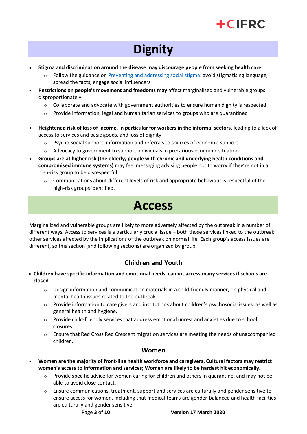

## **Dignity**

- **Stigma and discrimination around the disease may discourage people from seeking health care**
	- $\circ$  Follow the guidance o[n Preventing and addressing social stigma:](https://www.communityengagementhub.org/wp-content/uploads/sites/2/2020/02/COVID19-Stigma-guide-2002.pdf) avoid stigmatising language, spread the facts, engage social influencers
- **Restrictions on people's movement and freedoms may** affect marginalised and vulnerable groups disproportionately
	- $\circ$  Collaborate and advocate with government authorities to ensure human dignity is respected
	- $\circ$  Provide information, legal and humanitarian services to groups who are quarantined
- **Heightened risk of loss of income, in particular for workers in the informal sectors,** leading to a lack of access to services and basic goods, and loss of dignity
	- $\circ$  Psycho-social support, information and referrals to sources of economic support
	- $\circ$  Advocacy to government to support individuals in precarious economic situation
- **Groups are at higher risk (the elderly, people with chronic and underlying health conditions and compromised immune systems)** may feel messaging advising people not to worry if they're not in a high-risk group to be disrespectful
	- o Communications about different levels of risk and appropriate behaviour is respectful of the high-risk groups identified.

## **Access**

Marginalized and vulnerable groups are likely to more adversely affected by the outbreak in a number of different ways. Access to services is a particularly crucial issue – both those services linked to the outbreak other services affected by the implications of the outbreak on normal life. Each group's access issues are different, so this section (and following sections) are organized by group.

### **Children and Youth**

- **Children have specific information and emotional needs, cannot access many services if schools are closed.**
	- $\circ$  Design information and communication materials in a child-friendly manner, on physical and mental health issues related to the outbreak
	- $\circ$  Provide information to care givers and institutions about children's psychosocial issues, as well as general health and hygiene.
	- $\circ$  Provide child-friendly services that address emotional unrest and anxieties due to school closures.
	- o Ensure that Red Cross Red Crescent migration services are meeting the needs of unaccompanied children.

#### **Women**

- **Women are the majority of front-line health workforce and caregivers. Cultural factors may restrict women's access to information and services; Women are likely to be hardest hit economically.**
	- $\circ$  Provide specific advice for women caring for children and others in quarantine, and may not be able to avoid close contact.
	- $\circ$  Ensure communications, treatment, support and services are culturally and gender sensitive to ensure access for women, including that medical teams are gender-balanced and health facilities are culturally and gender sensitive.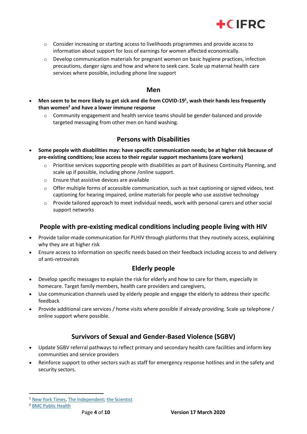

- $\circ$  Consider increasing or starting access to livelihoods programmes and provide access to information about support for loss of earnings for women affected economically.
- $\circ$  Develop communication materials for pregnant women on basic hygiene practices, infection precautions, danger signs and how and where to seek care. Scale up maternal health care services where possible, including phone line support

#### **Men**

- **Men seem to be more likely to get sick and die from COVID-19<sup>1</sup> , wash their hands less frequently than women<sup>2</sup> and have a lower immune response**
	- o Community engagement and health service teams should be gender-balanced and provide targeted messaging from other men on hand washing.

#### **Persons with Disabilities**

- **Some people with disabilities may: have specific communication needs; be at higher risk because of pre-existing conditions; lose access to their regular support mechanisms (care workers)** 
	- $\circ$  Prioritise services supporting people with disabilities as part of Business Continuity Planning, and scale up if possible, including phone /online support.
	- o Ensure that assistive devices are available
	- $\circ$  Offer multiple forms of accessible communication, such as text captioning or signed videos, text captioning for hearing impaired, online materials for people who use assistive technology
	- $\circ$  Provide tailored approach to meet individual needs, work with personal carers and other social support networks

#### **People with pre-existing medical conditions including people living with HIV**

- Provide tailor-made communication for PLHIV through platforms that they routinely access, explaining why they are at higher risk
- Ensure access to information on specific needs based on their feedback including access to and delivery of anti-retrovirals

#### **Elderly people**

- Develop specific messages to explain the risk for elderly and how to care for them, especially in homecare. Target family members, health care providers and caregivers,
- Use communication channels used by elderly people and engage the elderly to address their specific feedback
- Provide additional care services / home visits where possible if already providing. Scale up telephone / online support where possible.

### **Survivors of Sexual and Gender-Based Violence (SGBV)**

- Update SGBV referral pathways to reflect primary and secondary health care facilities and inform key communities and service providers
- Reinforce support to other sectors such as staff for emergency response hotlines and in the safety and security sectors.

<sup>&</sup>lt;sup>1</sup> [New York Times,](https://www.nytimes.com/2020/02/20/health/coronavirus-men-women.html?0p19G=3248) [The Independent;](https://www.independent.co.uk/news/health/coronavirus-women-men-children-death-rate-toll-china-wuhan-outbreak-a9385932.html) [the Scientist](https://www.the-scientist.com/news-opinion/why-some-covid-19-cases-are-worse-than-others-67160)

<sup>2</sup> [BMC Public Health](https://www.ncbi.nlm.nih.gov/pmc/articles/PMC6460727/)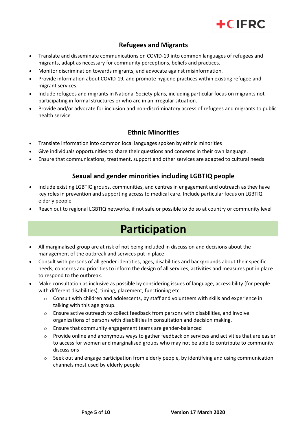

### **Refugees and Migrants**

- Translate and disseminate communications on COVID-19 into common languages of refugees and migrants, adapt as necessary for community perceptions, beliefs and practices.
- Monitor discrimination towards migrants, and advocate against misinformation.
- Provide information about COVID-19, and promote hygiene practices within existing refugee and migrant services.
- Include refugees and migrants in National Society plans, including particular focus on migrants not participating in formal structures or who are in an irregular situation.
- Provide and/or advocate for inclusion and non-discriminatory access of refugees and migrants to public health service

### **Ethnic Minorities**

- Translate information into common local languages spoken by ethnic minorities
- Give individuals opportunities to share their questions and concerns in their own language.
- Ensure that communications, treatment, support and other services are adapted to cultural needs

### **Sexual and gender minorities including LGBTIQ people**

- Include existing LGBTIQ groups, communities, and centres in engagement and outreach as they have key roles in prevention and supporting access to medical care. Include particular focus on LGBTIQ elderly people
- Reach out to regional LGBTIQ networks, if not safe or possible to do so at country or community level

### **Participation**

- All marginalised group are at risk of not being included in discussion and decisions about the management of the outbreak and services put in place
- Consult with persons of all gender identities, ages, disabilities and backgrounds about their specific needs, concerns and priorities to inform the design of all services, activities and measures put in place to respond to the outbreak.
- Make consultation as inclusive as possible by considering issues of language, accessibility (for people with different disabilities), timing, placement, functioning etc.
	- $\circ$  Consult with children and adolescents, by staff and volunteers with skills and experience in talking with this age group.
	- $\circ$  Ensure active outreach to collect feedback from persons with disabilities, and involve organizations of persons with disabilities in consultation and decision making.
	- o Ensure that community engagement teams are gender-balanced
	- $\circ$  Provide online and anonymous ways to gather feedback on services and activities that are easier to access for women and marginalised groups who may not be able to contribute to community discussions
	- $\circ$  Seek out and engage participation from elderly people, by identifying and using communication channels most used by elderly people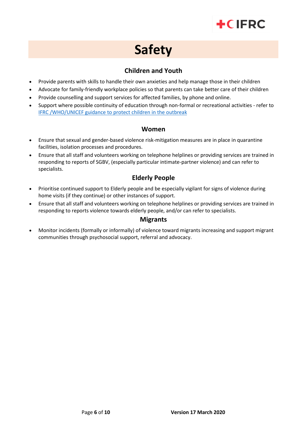## $+C$ IFRC

## **Safety**

### **Children and Youth**

- Provide parents with skills to handle their own anxieties and help manage those in their children
- Advocate for family-friendly workplace policies so that parents can take better care of their children
- Provide counselling and support services for affected families, by phone and online.
- Support where possible continuity of education through non-formal or recreational activities refer to [IFRC /WHO/UNICEF guidance to protect children](https://www.who.int/docs/default-source/coronaviruse/key-messages-and-actions-for-covid-19-prevention-and-control-in-schools-march-2020.pdf?sfvrsn=baf81d52_4) in the outbreak

#### **Women**

- Ensure that sexual and gender-based violence risk-mitigation measures are in place in quarantine facilities, isolation processes and procedures.
- Ensure that all staff and volunteers working on telephone helplines or providing services are trained in responding to reports of SGBV, (especially particular intimate-partner violence) and can refer to specialists.

### **Elderly People**

- Prioritise continued support to Elderly people and be especially vigilant for signs of violence during home visits (if they continue) or other instances of support.
- Ensure that all staff and volunteers working on telephone helplines or providing services are trained in responding to reports violence towards elderly people, and/or can refer to specialists.

### **Migrants**

• Monitor incidents (formally or informally) of violence toward migrants increasing and support migrant communities through psychosocial support, referral and advocacy.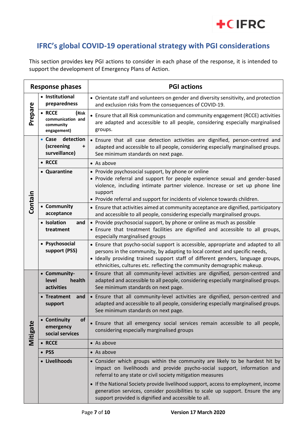

### **IFRC's global COVID-19 operational strategy with PGI considerations**

This section provides key PGI actions to consider in each phase of the response, it is intended to support the development of Emergency Plans of Action.

| Response phases |                                                                  | <b>PGI actions</b>                                                                                                                                                                                                                                                                                                             |
|-----------------|------------------------------------------------------------------|--------------------------------------------------------------------------------------------------------------------------------------------------------------------------------------------------------------------------------------------------------------------------------------------------------------------------------|
| Prepare         | • Institutional<br>preparedness                                  | • Orientate staff and volunteers on gender and diversity sensitivity, and protection<br>and exclusion risks from the consequences of COVID-19.                                                                                                                                                                                 |
|                 | • RCCE<br>(Risk<br>communication and<br>community<br>engagement) | • Ensure that all Risk communication and community engagement (RCCE) activities<br>are adapted and accessible to all people, considering especially marginalised<br>groups.                                                                                                                                                    |
| Contain         | detection<br>$\bullet$ Case<br>(screening<br>+<br>surveillance)  | • Ensure that all case detection activities are dignified, person-centred and<br>adapted and accessible to all people, considering especially marginalised groups.<br>See minimum standards on next page.                                                                                                                      |
|                 | • RCCE                                                           | • As above                                                                                                                                                                                                                                                                                                                     |
|                 | • Quarantine                                                     | • Provide psychosocial support, by phone or online<br>• Provide referral and support for people experience sexual and gender-based<br>violence, including intimate partner violence. Increase or set up phone line<br>support<br>• Provide referral and support for incidents of violence towards children.                    |
|                 | • Community<br>acceptance                                        | • Ensure that activities aimed at community acceptance are dignified, participatory<br>and accessible to all people, considering especially marginalised groups.                                                                                                                                                               |
|                 | • Isolation<br>and<br>treatment                                  | • Provide psychosocial support, by phone or online as much as possible<br>• Ensure that treatment facilities are dignified and accessible to all groups,<br>especially marginalised groups                                                                                                                                     |
|                 | • Psychosocial<br>support (PSS)                                  | • Ensure that psycho-social support is accessible, appropriate and adapted to all<br>persons in the community, by adapting to local context and specific needs,<br>· Ideally providing trained support staff of different genders, language groups,<br>ethnicities, cultures etc. reflecting the community demographic makeup. |
| Mitigate        | • Community-<br>level<br>health<br>activities                    | • Ensure that all community-level activities are dignified, person-centred and<br>adapted and accessible to all people, considering especially marginalised groups.<br>See minimum standards on next page.                                                                                                                     |
|                 | • Treatment<br>and<br>support                                    | • Ensure that all community-level activities are dignified, person-centred and<br>adapted and accessible to all people, considering especially marginalised groups.<br>See minimum standards on next page.                                                                                                                     |
|                 | <b>of</b><br>• Continuity<br>emergency<br>social services        | · Ensure that all emergency social services remain accessible to all people,<br>considering especially marginalised groups                                                                                                                                                                                                     |
|                 | • RCCE                                                           | $\bullet$ As above                                                                                                                                                                                                                                                                                                             |
|                 | • PSS                                                            | $\bullet$ As above                                                                                                                                                                                                                                                                                                             |
|                 | • Livelihoods                                                    | • Consider which groups within the community are likely to be hardest hit by<br>impact on livelihoods and provide psycho-social support, information and<br>referral to any state or civil society mitigation measures                                                                                                         |
|                 |                                                                  | • If the National Society provide livelihood support, access to employment, income<br>generation services, consider possibilities to scale up support. Ensure the any<br>support provided is dignified and accessible to all.                                                                                                  |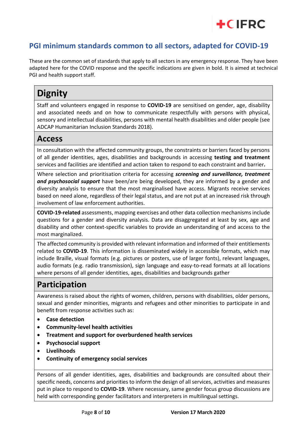### **PGI minimum standards common to all sectors, adapted for COVID-19**

These are the common set of standards that apply to all sectors in any emergency response. They have been adapted here for the COVID response and the specific indications are given in bold. It is aimed at technical PGI and health support staff.

 $+C$ IFRC

### **Dignity**

Staff and volunteers engaged in response to **COVID-19** are sensitised on gender, age, disability and associated needs and on how to communicate respectfully with persons with physical, sensory and intellectual disabilities, persons with mental health disabilities and older people (see ADCAP Humanitarian Inclusion Standards 2018).

### **Access**

In consultation with the affected community groups, the constraints or barriers faced by persons of all gender identities, ages, disabilities and backgrounds in accessing **testing and treatment** services and facilities are identified and action taken to respond to each constraint and barrier*.*

Where selection and prioritisation criteria for accessing *screening and surveillance, treatment and psychosocial support* have been/are being developed, they are informed by a gender and diversity analysis to ensure that the most marginalised have access. Migrants receive services based on need alone, regardless of their legal status, and are not put at an increased risk through involvement of law enforcement authorities.

**COVID-19-related** assessments, mapping exercises and other data collection mechanisms include questions for a gender and diversity analysis. Data are disaggregated at least by sex, age and disability and other context-specific variables to provide an understanding of and access to the most marginalized.

The affected community is provided with relevant information and informed of their entitlements related to **COVID-19**. This information is disseminated widely in accessible formats, which may include Braille, visual formats (e.g. pictures or posters, use of larger fonts), relevant languages, audio formats (e.g. radio transmission), sign language and easy-to-read formats at all locations where persons of all gender identities, ages, disabilities and backgrounds gather

### **Participation**

Awareness is raised about the rights of women, children, persons with disabilities, older persons, sexual and gender minorities, migrants and refugees and other minorities to participate in and benefit from response activities such as:

- **Case detection**
- **Community-level health activities**
- **Treatment and support for overburdened health services**
- **Psychosocial support**
- **Livelihoods**
- **Continuity of emergency social services**

Persons of all gender identities, ages, disabilities and backgrounds are consulted about their specific needs, concerns and priorities to inform the design of all services, activities and measures put in place to respond to **COVID-19**. Where necessary, same gender focus group discussions are held with corresponding gender facilitators and interpreters in multilingual settings.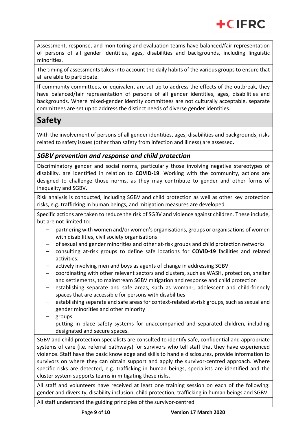

Assessment, response, and monitoring and evaluation teams have balanced/fair representation of persons of all gender identities, ages, disabilities and backgrounds, including linguistic minorities.

The timing of assessments takes into account the daily habits of the various groups to ensure that all are able to participate.

If community committees, or equivalent are set up to address the effects of the outbreak, they have balanced/fair representation of persons of all gender identities, ages, disabilities and backgrounds. Where mixed-gender identity committees are not culturally acceptable, separate committees are set up to address the distinct needs of diverse gender identities.

### **Safety**

With the involvement of persons of all gender identities, ages, disabilities and backgrounds, risks related to safety issues (other than safety from infection and illness) are assessed*.*

### *SGBV prevention and response and child protection*

Discriminatory gender and social norms, particularly those involving negative stereotypes of disability, are identified in relation to **COVID-19**. Working with the community, actions are designed to challenge those norms, as they may contribute to gender and other forms of inequality and SGBV.

Risk analysis is conducted, including SGBV and child protection as well as other key protection risks, e.g. trafficking in human beings, and mitigation measures are developed.

Specific actions are taken to reduce the risk of SGBV and violence against children. These include, but are not limited to:

- partnering with women and/or women's organisations, groups or organisations of women with disabilities, civil society organisations
- of sexual and gender minorities and other at-risk groups and child protection networks
- consulting at-risk groups to define safe locations for **COVID-19** facilities and related activities.
- actively involving men and boys as agents of change in addressing SGBV
- coordinating with other relevant sectors and clusters, such as WASH, protection, shelter and settlements, to mainstream SGBV mitigation and response and child protection
- establishing separate and safe areas, such as woman-, adolescent and child-friendly spaces that are accessible for persons with disabilities
- establishing separate and safe areas for context-related at-risk groups, such as sexual and gender minorities and other minority
- groups
- putting in place safety systems for unaccompanied and separated children, including designated and secure spaces.

SGBV and child protection specialists are consulted to identify safe, confidential and appropriate systems of care (i.e. referral pathways) for survivors who tell staff that they have experienced violence. Staff have the basic knowledge and skills to handle disclosures, provide information to survivors on where they can obtain support and apply the survivor-centred approach. Where specific risks are detected, e.g. trafficking in human beings, specialists are identified and the cluster system supports teams in mitigating these risks.

All staff and volunteers have received at least one training session on each of the following: gender and diversity, disability inclusion, child protection, trafficking in human beings and SGBV

All staff understand the guiding principles of the survivor-centred